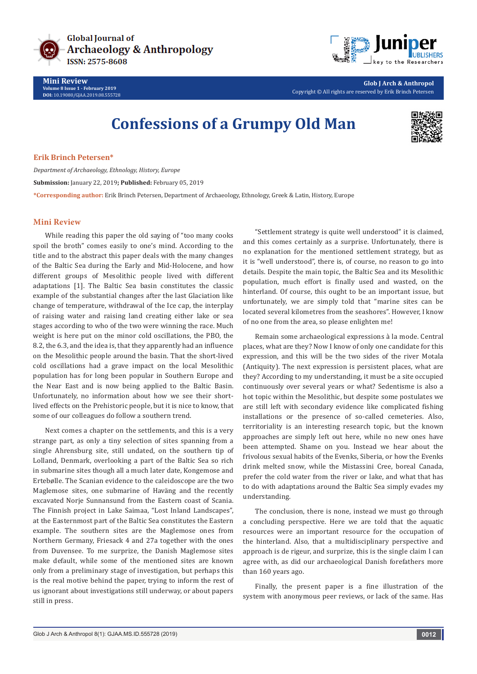

**Mini Review Volume 8 Issue 1 - February 2019 DOI:** [10.19080/GJAA.2019.08.555728](http://dx.doi.org/10.19080/GJAA.2019.08.555728)



**Glob J Arch & Anthropol** Copyright © All rights are reserved by Erik Brinch Petersen

## **Confessions of a Grumpy Old Man**



**Erik Brinch Petersen\***

*Department of Archaeology, Ethnology, History, Europe* **Submission:** January 22, 2019**; Published:** February 05, 2019 **\*Corresponding author:** Erik Brinch Petersen, Department of Archaeology, Ethnology, Greek & Latin, History, Europe

## **Mini Review**

While reading this paper the old saying of "too many cooks spoil the broth" comes easily to one's mind. According to the title and to the abstract this paper deals with the many changes of the Baltic Sea during the Early and Mid-Holocene, and how different groups of Mesolithic people lived with different adaptations [1]. The Baltic Sea basin constitutes the classic example of the substantial changes after the last Glaciation like change of temperature, withdrawal of the Ice cap, the interplay of raising water and raising land creating either lake or sea stages according to who of the two were winning the race. Much weight is here put on the minor cold oscillations, the PBO, the 8.2, the 6.3, and the idea is, that they apparently had an influence on the Mesolithic people around the basin. That the short-lived cold oscillations had a grave impact on the local Mesolithic population has for long been popular in Southern Europe and the Near East and is now being applied to the Baltic Basin. Unfortunately, no information about how we see their shortlived effects on the Prehistoric people, but it is nice to know, that some of our colleagues do follow a southern trend.

Next comes a chapter on the settlements, and this is a very strange part, as only a tiny selection of sites spanning from a single Ahrensburg site, still undated, on the southern tip of Lolland, Denmark, overlooking a part of the Baltic Sea so rich in submarine sites though all a much later date, Kongemose and Ertebølle. The Scanian evidence to the caleidoscope are the two Maglemose sites, one submarine of Haväng and the recently excavated Norje Sunnansund from the Eastern coast of Scania. The Finnish project in Lake Saimaa, "Lost Inland Landscapes", at the Easternmost part of the Baltic Sea constitutes the Eastern example. The southern sites are the Maglemose ones from Northern Germany, Friesack 4 and 27a together with the ones from Duvensee. To me surprize, the Danish Maglemose sites make default, while some of the mentioned sites are known only from a preliminary stage of investigation, but perhaps this is the real motive behind the paper, trying to inform the rest of us ignorant about investigations still underway, or about papers still in press.

"Settlement strategy is quite well understood" it is claimed, and this comes certainly as a surprise. Unfortunately, there is no explanation for the mentioned settlement strategy, but as it is "well understood", there is, of course, no reason to go into details. Despite the main topic, the Baltic Sea and its Mesolithic population, much effort is finally used and wasted, on the hinterland. Of course, this ought to be an important issue, but unfortunately, we are simply told that "marine sites can be located several kilometres from the seashores". However, I know of no one from the area, so please enlighten me!

Remain some archaeological expressions à la mode. Central places, what are they? Now I know of only one candidate for this expression, and this will be the two sides of the river Motala (Antiquity). The next expression is persistent places, what are they? According to my understanding, it must be a site occupied continuously over several years or what? Sedentisme is also a hot topic within the Mesolithic, but despite some postulates we are still left with secondary evidence like complicated fishing installations or the presence of so-called cemeteries. Also, territoriality is an interesting research topic, but the known approaches are simply left out here, while no new ones have been attempted. Shame on you. Instead we hear about the frivolous sexual habits of the Evenks, Siberia, or how the Evenks drink melted snow, while the Mistassini Cree, boreal Canada, prefer the cold water from the river or lake, and what that has to do with adaptations around the Baltic Sea simply evades my understanding.

The conclusion, there is none, instead we must go through a concluding perspective. Here we are told that the aquatic resources were an important resource for the occupation of the hinterland. Also, that a multidisciplinary perspective and approach is de rigeur, and surprize, this is the single claim I can agree with, as did our archaeological Danish forefathers more than 160 years ago.

Finally, the present paper is a fine illustration of the system with anonymous peer reviews, or lack of the same. Has